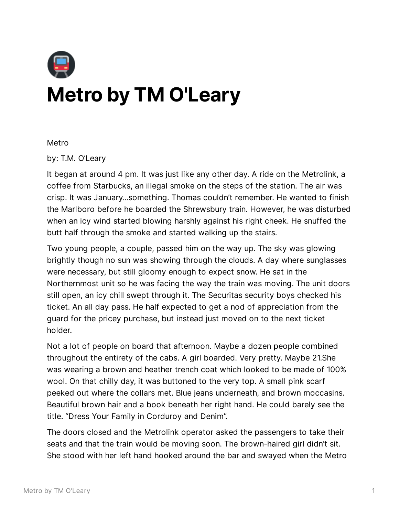

## **Metro by TM O'Leary**

## Metro

by: T.M. O'Leary

It began at around 4 pm. It was just like any other day. A ride on the Metrolink, a coffee from Starbucks, an illegal smoke on the steps of the station. The air was crisp. It was January...something. Thomas couldn't remember. He wanted to finish the Marlboro before he boarded the Shrewsbury train. However, he was disturbed when an icy wind started blowing harshly against his right cheek. He snuffed the butt half through the smoke and started walking up the stairs.

Two young people, a couple, passed him on the way up. The sky was glowing brightly though no sun was showing through the clouds. A day where sunglasses were necessary, but still gloomy enough to expect snow. He sat in the Northernmost unit so he was facing the way the train was moving. The unit doors still open, an icy chill swept through it. The Securitas security boys checked his ticket. An all day pass. He half expected to get a nod of appreciation from the guard for the pricey purchase, but instead just moved on to the next ticket holder.

Not a lot of people on board that afternoon. Maybe a dozen people combined throughout the entirety of the cabs. A girl boarded. Very pretty. Maybe 21.She was wearing a brown and heather trench coat which looked to be made of 100% wool. On that chilly day, it was buttoned to the very top. A small pink scarf peeked out where the collars met. Blue jeans underneath, and brown moccasins. Beautiful brown hair and a book beneath her right hand. He could barely see the title. "Dress Your Family in Corduroy and Denim".

The doors closed and the Metrolink operator asked the passengers to take their seats and that the train would be moving soon. The brown-haired girl didn't sit. She stood with her left hand hooked around the bar and swayed when the Metro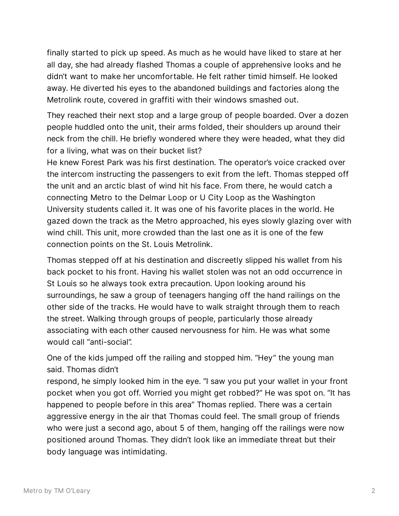finally started to pick up speed. As much as he would have liked to stare at her all day, she had already flashed Thomas a couple of apprehensive looks and he didn't want to make her uncomfortable. He felt rather timid himself. He looked away. He diverted his eyes to the abandoned buildings and factories along the Metrolink route, covered in graffiti with their windows smashed out.

They reached their next stop and a large group of people boarded. Over a dozen people huddled onto the unit, their arms folded, their shoulders up around their neck from the chill. He briefly wondered where they were headed, what they did for a living, what was on their bucket list?

He knew Forest Park was his first destination. The operator's voice cracked over the intercom instructing the passengers to exit from the left. Thomas stepped off the unit and an arctic blast of wind hit his face. From there, he would catch a connecting Metro to the Delmar Loop or U City Loop as the Washington University students called it. It was one of his favorite places in the world. He gazed down the track as the Metro approached, his eyes slowly glazing over with wind chill. This unit, more crowded than the last one as it is one of the few connection points on the St. Louis Metrolink.

Thomas stepped off at his destination and discreetly slipped his wallet from his back pocket to his front. Having his wallet stolen was not an odd occurrence in St Louis so he always took extra precaution. Upon looking around his surroundings, he saw a group of teenagers hanging off the hand railings on the other side of the tracks. He would have to walk straight through them to reach the street. Walking through groups of people, particularly those already associating with each other caused nervousness for him. He was what some would call "anti-social".

One of the kids jumped off the railing and stopped him. "Hey" the young man said. Thomas didn't

respond, he simply looked him in the eye. "I saw you put your wallet in your front pocket when you got off. Worried you might get robbed?" He was spot on. "It has happened to people before in this area" Thomas replied. There was a certain aggressive energy in the air that Thomas could feel. The small group of friends who were just a second ago, about 5 of them, hanging off the railings were now positioned around Thomas. They didn't look like an immediate threat but their body language was intimidating.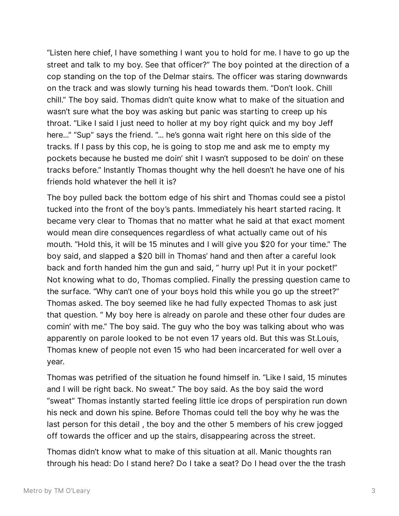"Listen here chief, I have something I want you to hold for me. I have to go up the street and talk to my boy. See that officer?" The boy pointed at the direction of a cop standing on the top of the Delmar stairs. The officer was staring downwards on the track and was slowly turning his head towards them. "Don't look. Chill chill." The boy said. Thomas didn't quite know what to make of the situation and wasn't sure what the boy was asking but panic was starting to creep up his throat. "Like I said I just need to holler at my boy right quick and my boy Jeff here..." "Sup" says the friend. "... he's gonna wait right here on this side of the tracks. If I pass by this cop, he is going to stop me and ask me to empty my pockets because he busted me doin' shit I wasn't supposed to be doin' on these tracks before." Instantly Thomas thought why the hell doesn't he have one of his friends hold whatever the hell it is?

The boy pulled back the bottom edge of his shirt and Thomas could see a pistol tucked into the front of the boy's pants. Immediately his heart started racing. It became very clear to Thomas that no matter what he said at that exact moment would mean dire consequences regardless of what actually came out of his mouth. "Hold this, it will be 15 minutes and I will give you \$20 for your time." The boy said, and slapped a \$20 bill in Thomas' hand and then after a careful look back and forth handed him the gun and said, " hurry up! Put it in your pocket!" Not knowing what to do, Thomas complied. Finally the pressing question came to the surface. "Why can't one of your boys hold this while you go up the street?" Thomas asked. The boy seemed like he had fully expected Thomas to ask just that question. " My boy here is already on parole and these other four dudes are comin' with me." The boy said. The guy who the boy was talking about who was apparently on parole looked to be not even 17 years old. But this was St.Louis, Thomas knew of people not even 15 who had been incarcerated for well over a year.

Thomas was petrified of the situation he found himself in. "Like I said, 15 minutes and I will be right back. No sweat." The boy said. As the boy said the word "sweat" Thomas instantly started feeling little ice drops of perspiration run down his neck and down his spine. Before Thomas could tell the boy why he was the last person for this detail , the boy and the other 5 members of his crew jogged off towards the officer and up the stairs, disappearing across the street.

Thomas didn't know what to make of this situation at all. Manic thoughts ran through his head: Do I stand here? Do I take a seat? Do I head over the the trash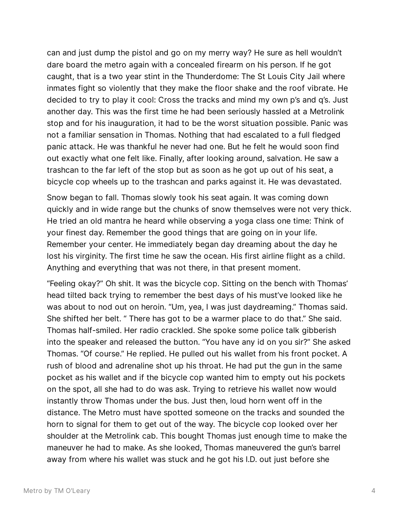can and just dump the pistol and go on my merry way? He sure as hell wouldn't dare board the metro again with a concealed firearm on his person. If he got caught, that is a two year stint in the Thunderdome: The St Louis City Jail where inmates fight so violently that they make the floor shake and the roof vibrate. He decided to try to play it cool: Cross the tracks and mind my own p's and q's. Just another day. This was the first time he had been seriously hassled at a Metrolink stop and for his inauguration, it had to be the worst situation possible. Panic was not a familiar sensation in Thomas. Nothing that had escalated to a full fledged panic attack. He was thankful he never had one. But he felt he would soon find out exactly what one felt like. Finally, after looking around, salvation. He saw a trashcan to the far left of the stop but as soon as he got up out of his seat, a bicycle cop wheels up to the trashcan and parks against it. He was devastated.

Snow began to fall. Thomas slowly took his seat again. It was coming down quickly and in wide range but the chunks of snow themselves were not very thick. He tried an old mantra he heard while observing a yoga class one time: Think of your finest day. Remember the good things that are going on in your life. Remember your center. He immediately began day dreaming about the day he lost his virginity. The first time he saw the ocean. His first airline flight as a child. Anything and everything that was not there, in that present moment.

"Feeling okay?" Oh shit. It was the bicycle cop. Sitting on the bench with Thomas' head tilted back trying to remember the best days of his must've looked like he was about to nod out on heroin. "Um, yea, I was just daydreaming." Thomas said. She shifted her belt. " There has got to be a warmer place to do that." She said. Thomas half-smiled. Her radio crackled. She spoke some police talk gibberish into the speaker and released the button. "You have any id on you sir?" She asked Thomas. "Of course." He replied. He pulled out his wallet from his front pocket. A rush of blood and adrenaline shot up his throat. He had put the gun in the same pocket as his wallet and if the bicycle cop wanted him to empty out his pockets on the spot, all she had to do was ask. Trying to retrieve his wallet now would instantly throw Thomas under the bus. Just then, loud horn went off in the distance. The Metro must have spotted someone on the tracks and sounded the horn to signal for them to get out of the way. The bicycle cop looked over her shoulder at the Metrolink cab. This bought Thomas just enough time to make the maneuver he had to make. As she looked, Thomas maneuvered the gun's barrel away from where his wallet was stuck and he got his I.D. out just before she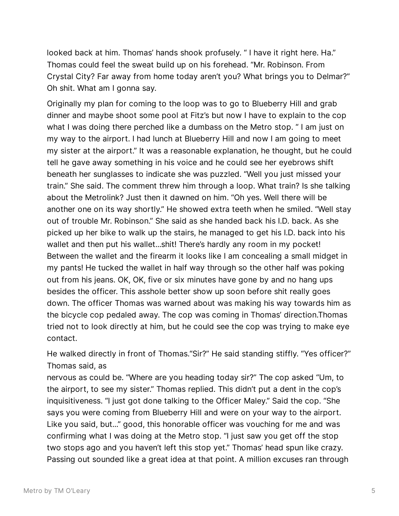looked back at him. Thomas' hands shook profusely. " I have it right here. Ha." Thomas could feel the sweat build up on his forehead. "Mr. Robinson. From Crystal City? Far away from home today aren't you? What brings you to Delmar?" Oh shit. What am I gonna say.

Originally my plan for coming to the loop was to go to Blueberry Hill and grab dinner and maybe shoot some pool at Fitz's but now I have to explain to the cop what I was doing there perched like a dumbass on the Metro stop. " I am just on my way to the airport. I had lunch at Blueberry Hill and now I am going to meet my sister at the airport." It was a reasonable explanation, he thought, but he could tell he gave away something in his voice and he could see her eyebrows shift beneath her sunglasses to indicate she was puzzled. "Well you just missed your train." She said. The comment threw him through a loop. What train? Is she talking about the Metrolink? Just then it dawned on him. "Oh yes. Well there will be another one on its way shortly." He showed extra teeth when he smiled. "Well stay out of trouble Mr. Robinson." She said as she handed back his I.D. back. As she picked up her bike to walk up the stairs, he managed to get his I.D. back into his wallet and then put his wallet...shit! There's hardly any room in my pocket! Between the wallet and the firearm it looks like I am concealing a small midget in my pants! He tucked the wallet in half way through so the other half was poking out from his jeans. OK, OK, five or six minutes have gone by and no hang ups besides the officer. This asshole better show up soon before shit really goes down. The officer Thomas was warned about was making his way towards him as the bicycle cop pedaled away. The cop was coming in Thomas' direction.Thomas tried not to look directly at him, but he could see the cop was trying to make eye contact.

He walked directly in front of Thomas."Sir?" He said standing stiffly. "Yes officer?" Thomas said, as

nervous as could be. "Where are you heading today sir?" The cop asked "Um, to the airport, to see my sister." Thomas replied. This didn't put a dent in the cop's inquisitiveness. "I just got done talking to the Officer Maley." Said the cop. "She says you were coming from Blueberry Hill and were on your way to the airport. Like you said, but..." good, this honorable officer was vouching for me and was confirming what I was doing at the Metro stop. "I just saw you get off the stop two stops ago and you haven't left this stop yet." Thomas' head spun like crazy. Passing out sounded like a great idea at that point. A million excuses ran through